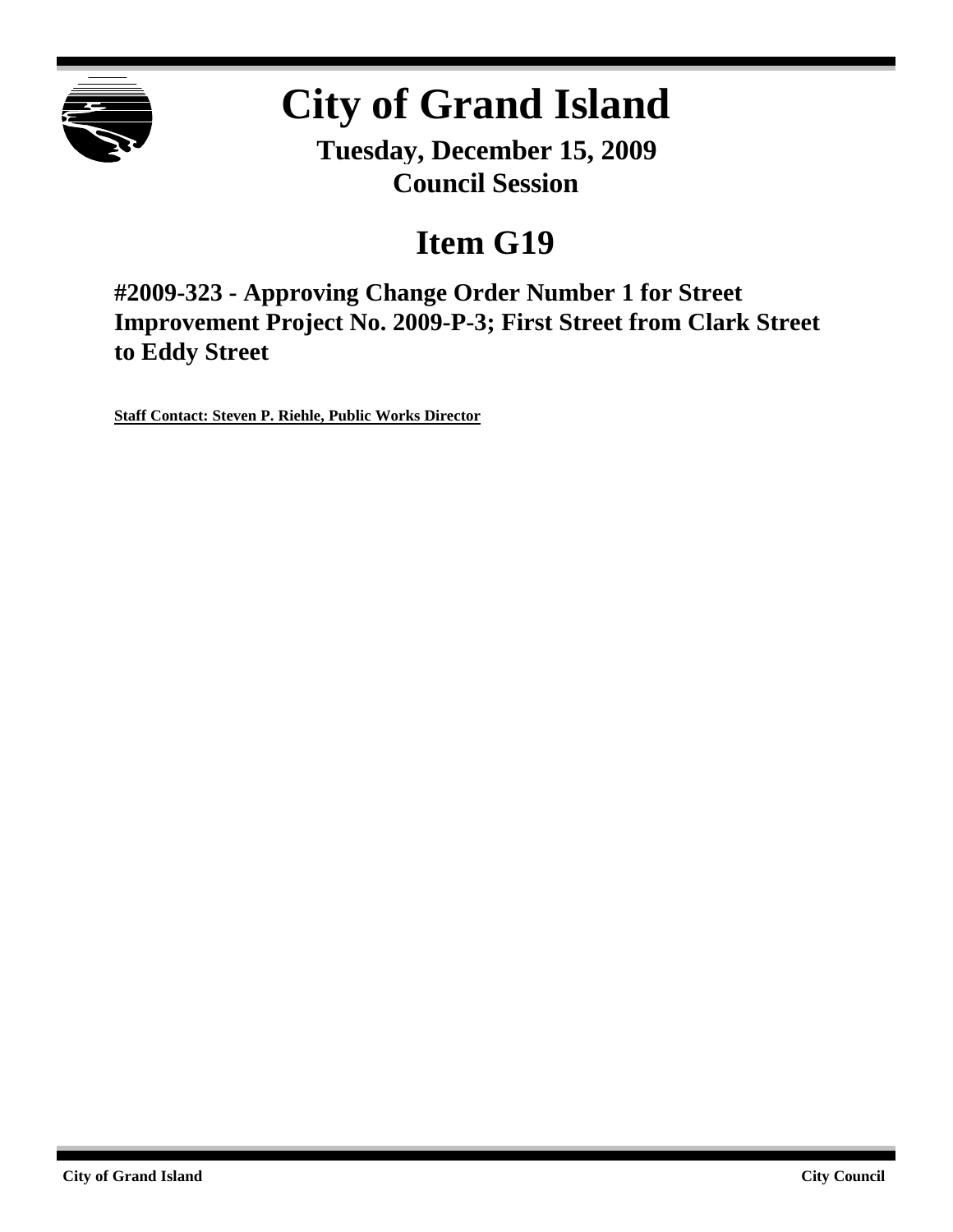

# **City of Grand Island**

**Tuesday, December 15, 2009 Council Session**

# **Item G19**

**#2009-323 - Approving Change Order Number 1 for Street Improvement Project No. 2009-P-3; First Street from Clark Street to Eddy Street**

**Staff Contact: Steven P. Riehle, Public Works Director**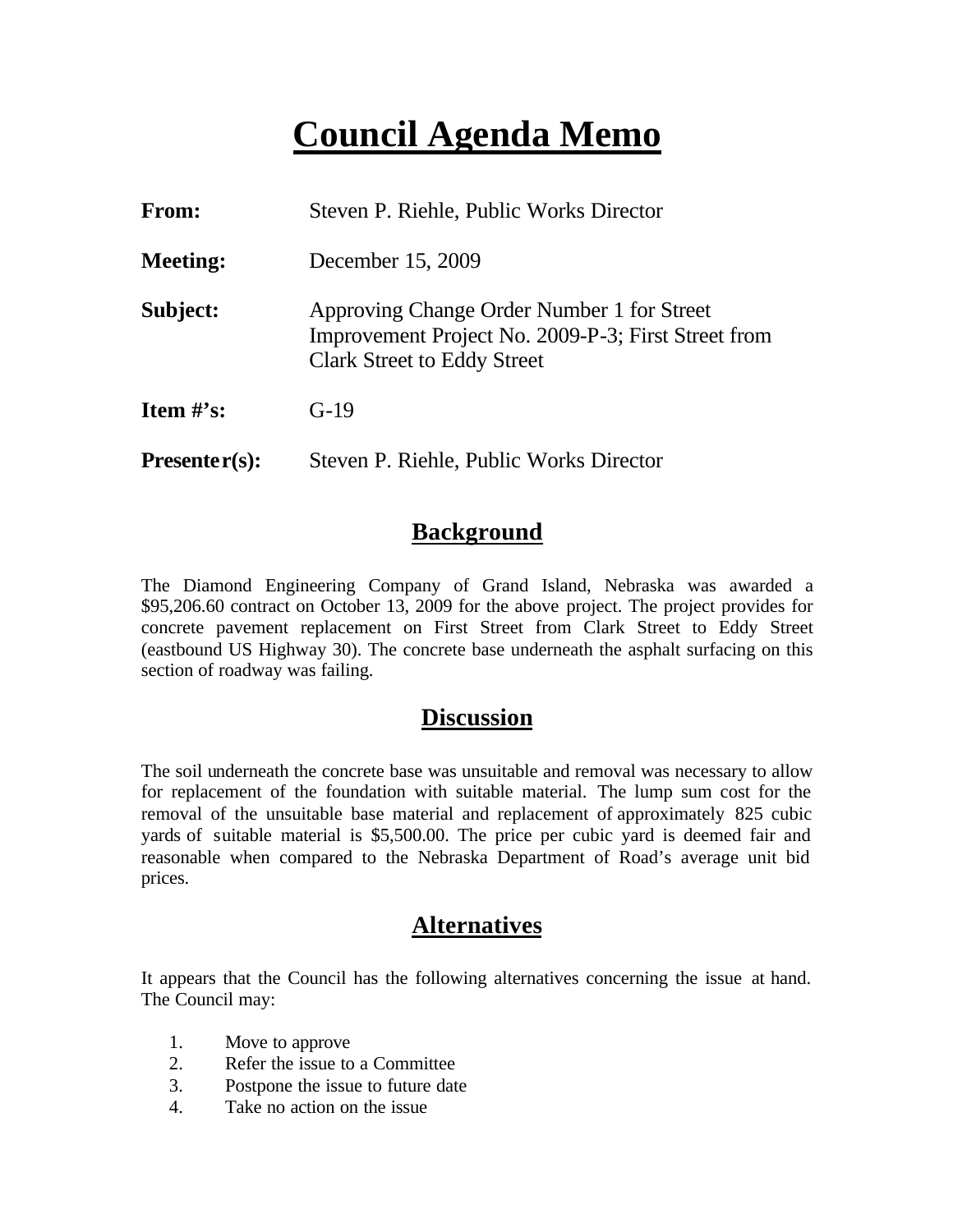## **Council Agenda Memo**

| <b>From:</b>    | Steven P. Riehle, Public Works Director                                                                                                 |  |  |  |
|-----------------|-----------------------------------------------------------------------------------------------------------------------------------------|--|--|--|
| <b>Meeting:</b> | December 15, 2009                                                                                                                       |  |  |  |
| Subject:        | Approving Change Order Number 1 for Street<br>Improvement Project No. 2009-P-3; First Street from<br><b>Clark Street to Eddy Street</b> |  |  |  |
| Item $\#$ 's:   | $G-19$                                                                                                                                  |  |  |  |
| $Presenter(s):$ | Steven P. Riehle, Public Works Director                                                                                                 |  |  |  |

#### **Background**

The Diamond Engineering Company of Grand Island, Nebraska was awarded a \$95,206.60 contract on October 13, 2009 for the above project. The project provides for concrete pavement replacement on First Street from Clark Street to Eddy Street (eastbound US Highway 30). The concrete base underneath the asphalt surfacing on this section of roadway was failing.

#### **Discussion**

The soil underneath the concrete base was unsuitable and removal was necessary to allow for replacement of the foundation with suitable material. The lump sum cost for the removal of the unsuitable base material and replacement of approximately 825 cubic yards of suitable material is \$5,500.00. The price per cubic yard is deemed fair and reasonable when compared to the Nebraska Department of Road's average unit bid prices.

#### **Alternatives**

It appears that the Council has the following alternatives concerning the issue at hand. The Council may:

- 1. Move to approve
- 2. Refer the issue to a Committee
- 3. Postpone the issue to future date
- 4. Take no action on the issue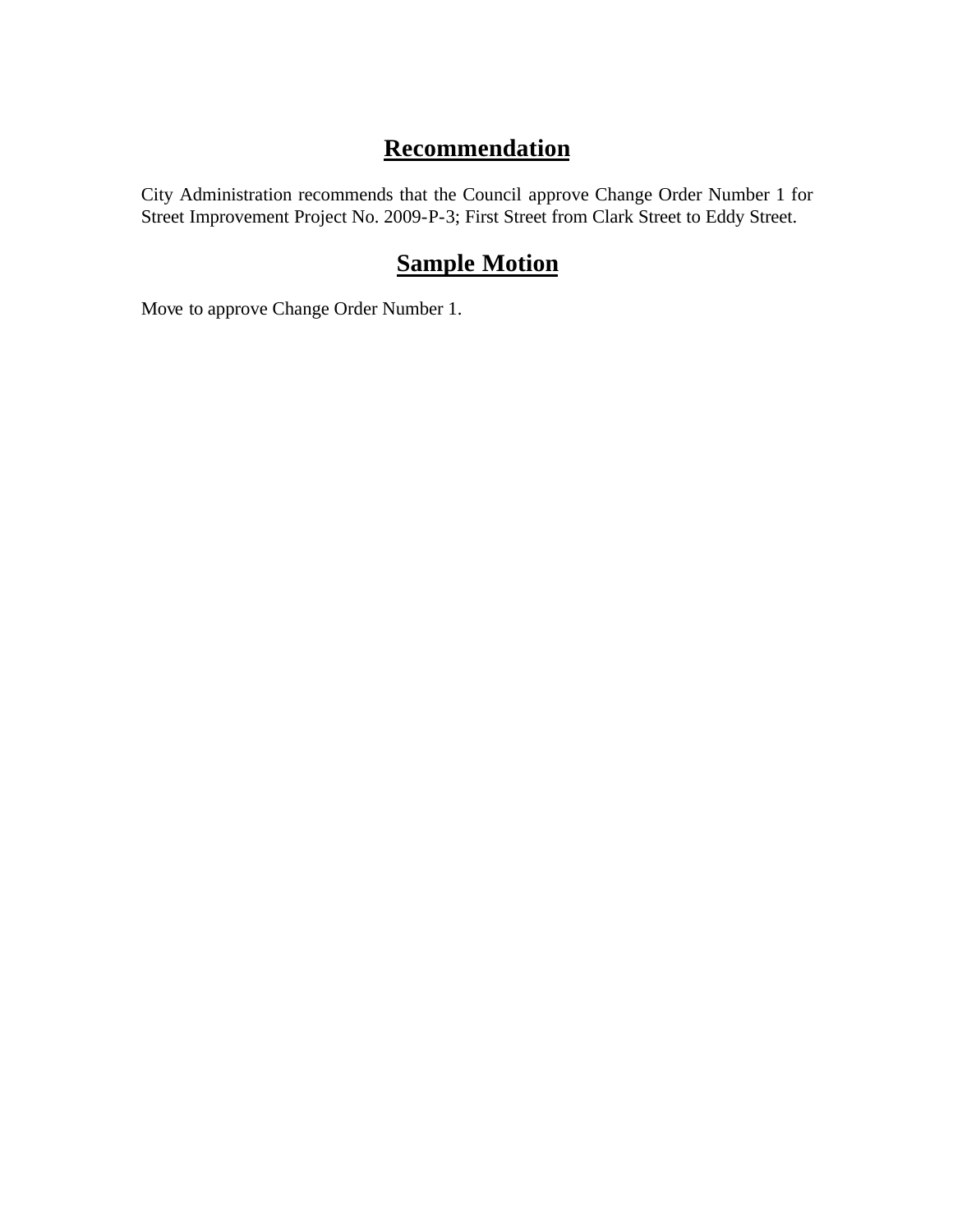### **Recommendation**

City Administration recommends that the Council approve Change Order Number 1 for Street Improvement Project No. 2009-P-3; First Street from Clark Street to Eddy Street.

### **Sample Motion**

Move to approve Change Order Number 1.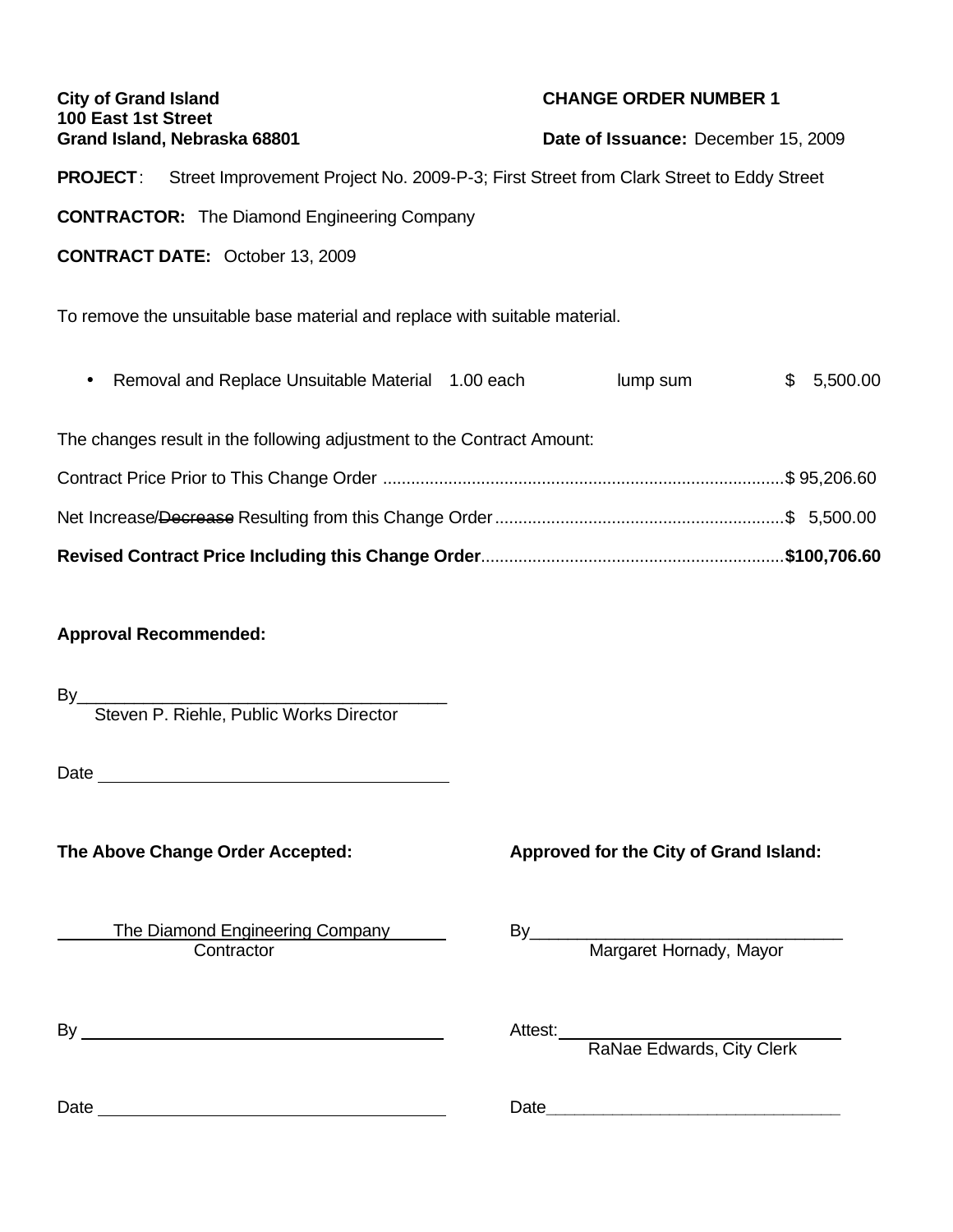| <b>City of Grand Island</b><br>100 East 1st Street<br>Grand Island, Nebraska 68801 |                                                                                                        |  | <b>CHANGE ORDER NUMBER 1</b>        |    |          |  |  |
|------------------------------------------------------------------------------------|--------------------------------------------------------------------------------------------------------|--|-------------------------------------|----|----------|--|--|
|                                                                                    |                                                                                                        |  | Date of Issuance: December 15, 2009 |    |          |  |  |
|                                                                                    | <b>PROJECT:</b> Street Improvement Project No. 2009-P-3; First Street from Clark Street to Eddy Street |  |                                     |    |          |  |  |
| <b>CONTRACTOR:</b> The Diamond Engineering Company                                 |                                                                                                        |  |                                     |    |          |  |  |
| <b>CONTRACT DATE: October 13, 2009</b>                                             |                                                                                                        |  |                                     |    |          |  |  |
| To remove the unsuitable base material and replace with suitable material.         |                                                                                                        |  |                                     |    |          |  |  |
|                                                                                    | Removal and Replace Unsuitable Material 1.00 each                                                      |  | lump sum                            | \$ | 5,500.00 |  |  |
| The changes result in the following adjustment to the Contract Amount:             |                                                                                                        |  |                                     |    |          |  |  |
|                                                                                    |                                                                                                        |  |                                     |    |          |  |  |
|                                                                                    |                                                                                                        |  |                                     |    |          |  |  |
|                                                                                    |                                                                                                        |  |                                     |    |          |  |  |
| <b>Approval Recommended:</b>                                                       |                                                                                                        |  |                                     |    |          |  |  |
| By                                                                                 | Steven P. Riehle, Public Works Director                                                                |  |                                     |    |          |  |  |
|                                                                                    |                                                                                                        |  |                                     |    |          |  |  |

Date

**The Above Change Order Accepted: Approved for the City of Grand Island:**

The Diamond Engineering Company Fig. 53. By ond Engineering Company Margaret Hornady, Mayor

 $\mathsf{By} \_\_\_\_\_\_\_$ 

Attest:<br>RaNae Edwards, City Clerk

Date Date**\_\_\_\_\_\_\_\_\_\_\_\_\_\_\_\_\_\_\_\_\_\_\_\_\_\_\_\_\_\_\_**